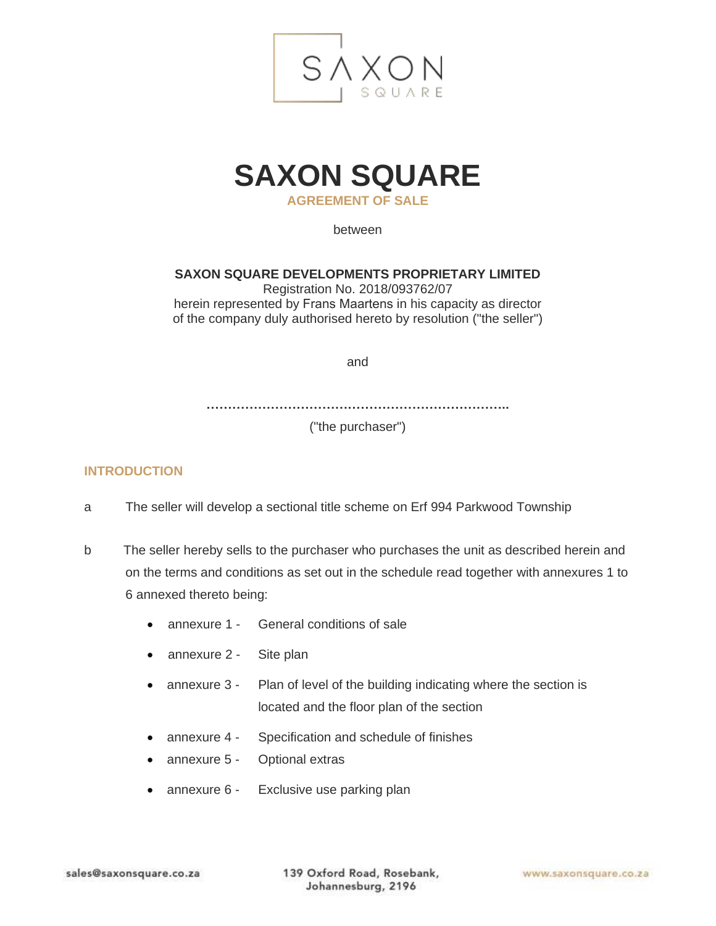

## **SAXON SQUARE**

**AGREEMENT OF SALE** 

between

**SAXON SQUARE DEVELOPMENTS PROPRIETARY LIMITED** 

Registration No. 2018/093762/07 herein represented by Frans Maartens in his capacity as director of the company duly authorised hereto by resolution ("the seller")

and

**……………………………………………………………..**

("the purchaser")

## **INTRODUCTION**

- a The seller will develop a sectional title scheme on Erf 994 Parkwood Township
- b The seller hereby sells to the purchaser who purchases the unit as described herein and on the terms and conditions as set out in the schedule read together with annexures 1 to 6 annexed thereto being:
	- annexure 1 General conditions of sale
	- annexure 2 Site plan
	- annexure 3 Plan of level of the building indicating where the section is located and the floor plan of the section
	- annexure 4 Specification and schedule of finishes
	- annexure 5 Optional extras
	- annexure 6 Exclusive use parking plan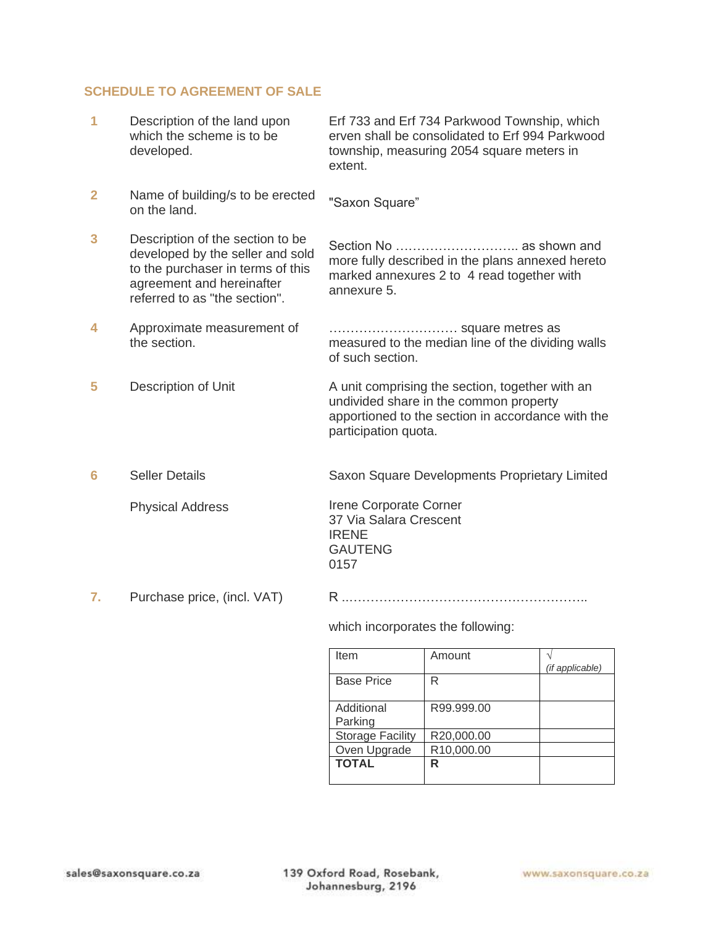## **SCHEDULE TO AGREEMENT OF SALE**

| 1              | Description of the land upon<br>which the scheme is to be<br>developed.                                                                                                 | Erf 733 and Erf 734 Parkwood Township, which<br>erven shall be consolidated to Erf 994 Parkwood<br>township, measuring 2054 square meters in<br>extent.                |
|----------------|-------------------------------------------------------------------------------------------------------------------------------------------------------------------------|------------------------------------------------------------------------------------------------------------------------------------------------------------------------|
| $\overline{2}$ | Name of building/s to be erected<br>on the land.                                                                                                                        | "Saxon Square"                                                                                                                                                         |
| 3              | Description of the section to be<br>developed by the seller and sold<br>to the purchaser in terms of this<br>agreement and hereinafter<br>referred to as "the section". | more fully described in the plans annexed hereto<br>marked annexures 2 to 4 read together with<br>annexure 5.                                                          |
| 4              | Approximate measurement of<br>the section.                                                                                                                              | measured to the median line of the dividing walls<br>of such section.                                                                                                  |
| 5              | Description of Unit                                                                                                                                                     | A unit comprising the section, together with an<br>undivided share in the common property<br>apportioned to the section in accordance with the<br>participation quota. |
| 6              | <b>Seller Details</b>                                                                                                                                                   | Saxon Square Developments Proprietary Limited                                                                                                                          |
|                | <b>Physical Address</b>                                                                                                                                                 | Irene Corporate Corner<br>37 Via Salara Crescent<br><b>IRENE</b><br><b>GAUTENG</b><br>0157                                                                             |
| 7.             | Purchase price, (incl. VAT)                                                                                                                                             |                                                                                                                                                                        |
|                |                                                                                                                                                                         | which incorporatos the following:                                                                                                                                      |

which incorporates the following:

| Item                    | Amount     | (if applicable) |
|-------------------------|------------|-----------------|
|                         |            |                 |
| <b>Base Price</b>       | R          |                 |
|                         |            |                 |
| Additional              | R99.999.00 |                 |
| Parking                 |            |                 |
| <b>Storage Facility</b> | R20,000.00 |                 |
| Oven Upgrade            | R10,000.00 |                 |
| <b>TOTAL</b>            | R          |                 |
|                         |            |                 |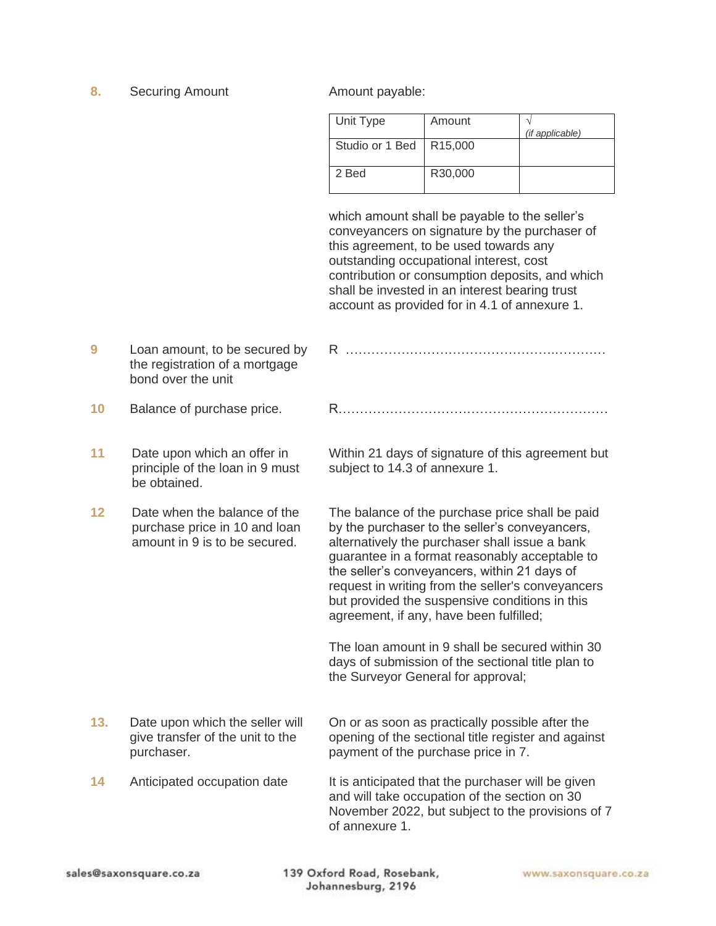**8.** Securing Amount **Amount payable:** 

| Unit Type       | Amount               | (if applicable) |
|-----------------|----------------------|-----------------|
| Studio or 1 Bed | R <sub>15</sub> ,000 |                 |
| 2 Bed           | R30,000              |                 |

which amount shall be payable to the seller's conveyancers on signature by the purchaser of this agreement, to be used towards any outstanding occupational interest, cost contribution or consumption deposits, and which shall be invested in an interest bearing trust account as provided for in 4.1 of annexure 1.

- **9** Loan amount, to be secured by the registration of a mortgage bond over the unit R ………………………………………….………… **10** Balance of purchase price. R………………………………………………………
- **11** Date upon which an offer in principle of the loan in 9 must be obtained. subject to 14.3 of annexure 1.
- **12** Date when the balance of the purchase price in 10 and loan amount in 9 is to be secured.

**13.** Date upon which the seller will give transfer of the unit to the purchaser.

Within 21 days of signature of this agreement but

The balance of the purchase price shall be paid by the purchaser to the seller's conveyancers, alternatively the purchaser shall issue a bank guarantee in a format reasonably acceptable to the seller's conveyancers, within 21 days of request in writing from the seller's conveyancers but provided the suspensive conditions in this agreement, if any, have been fulfilled;

The loan amount in 9 shall be secured within 30 days of submission of the sectional title plan to the Surveyor General for approval;

On or as soon as practically possible after the opening of the sectional title register and against payment of the purchase price in 7.

**14** Anticipated occupation date It is anticipated that the purchaser will be given and will take occupation of the section on 30 November 2022, but subject to the provisions of 7 of annexure 1.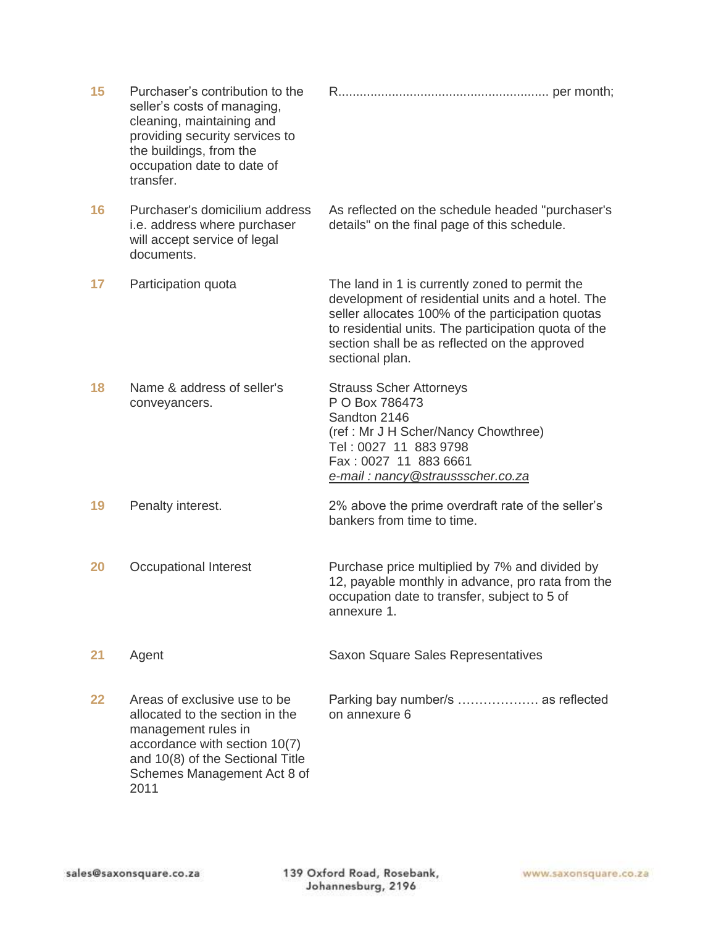| 15 | Purchaser's contribution to the<br>seller's costs of managing,<br>cleaning, maintaining and<br>providing security services to<br>the buildings, from the<br>occupation date to date of<br>transfer. |                                                                                                                                                                                                                                                                                      |
|----|-----------------------------------------------------------------------------------------------------------------------------------------------------------------------------------------------------|--------------------------------------------------------------------------------------------------------------------------------------------------------------------------------------------------------------------------------------------------------------------------------------|
| 16 | Purchaser's domicilium address<br>i.e. address where purchaser<br>will accept service of legal<br>documents.                                                                                        | As reflected on the schedule headed "purchaser's<br>details" on the final page of this schedule.                                                                                                                                                                                     |
| 17 | Participation quota                                                                                                                                                                                 | The land in 1 is currently zoned to permit the<br>development of residential units and a hotel. The<br>seller allocates 100% of the participation quotas<br>to residential units. The participation quota of the<br>section shall be as reflected on the approved<br>sectional plan. |
| 18 | Name & address of seller's<br>conveyancers.                                                                                                                                                         | <b>Strauss Scher Attorneys</b><br>P O Box 786473<br>Sandton 2146<br>(ref: Mr J H Scher/Nancy Chowthree)<br>Tel: 0027 11 883 9798<br>Fax: 0027 11 883 6661<br>e-mail: nancy@straussscher.co.za                                                                                        |
| 19 | Penalty interest.                                                                                                                                                                                   | 2% above the prime overdraft rate of the seller's<br>bankers from time to time.                                                                                                                                                                                                      |
| 20 | Occupational Interest                                                                                                                                                                               | Purchase price multiplied by 7% and divided by<br>12, payable monthly in advance, pro rata from the<br>occupation date to transfer, subject to 5 of<br>annexure 1.                                                                                                                   |
| 21 | Agent                                                                                                                                                                                               | Saxon Square Sales Representatives                                                                                                                                                                                                                                                   |
| 22 | Areas of exclusive use to be<br>allocated to the section in the<br>management rules in<br>accordance with section 10(7)<br>and 10(8) of the Sectional Title<br>Schemes Management Act 8 of<br>2011  | Parking bay number/s  as reflected<br>on annexure 6                                                                                                                                                                                                                                  |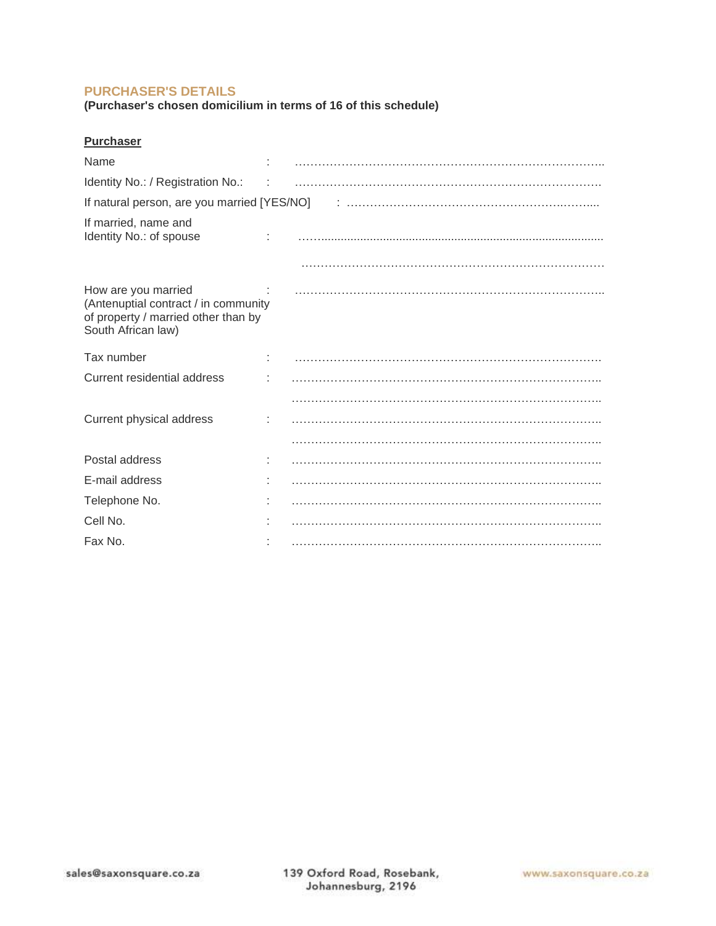## **PURCHASER'S DETAILS**

**(Purchaser's chosen domicilium in terms of 16 of this schedule)**

| <b>Purchaser</b>                                                                                                         |  |  |  |  |
|--------------------------------------------------------------------------------------------------------------------------|--|--|--|--|
| Name                                                                                                                     |  |  |  |  |
| Identity No.: / Registration No.:                                                                                        |  |  |  |  |
|                                                                                                                          |  |  |  |  |
| If married, name and<br>Identity No.: of spouse                                                                          |  |  |  |  |
|                                                                                                                          |  |  |  |  |
| How are you married<br>(Antenuptial contract / in community<br>of property / married other than by<br>South African law) |  |  |  |  |
| Tax number                                                                                                               |  |  |  |  |
| Current residential address                                                                                              |  |  |  |  |
|                                                                                                                          |  |  |  |  |
| Current physical address                                                                                                 |  |  |  |  |
|                                                                                                                          |  |  |  |  |
| Postal address                                                                                                           |  |  |  |  |
| E-mail address                                                                                                           |  |  |  |  |
| Telephone No.                                                                                                            |  |  |  |  |
| Cell No.                                                                                                                 |  |  |  |  |
| Fax No.                                                                                                                  |  |  |  |  |